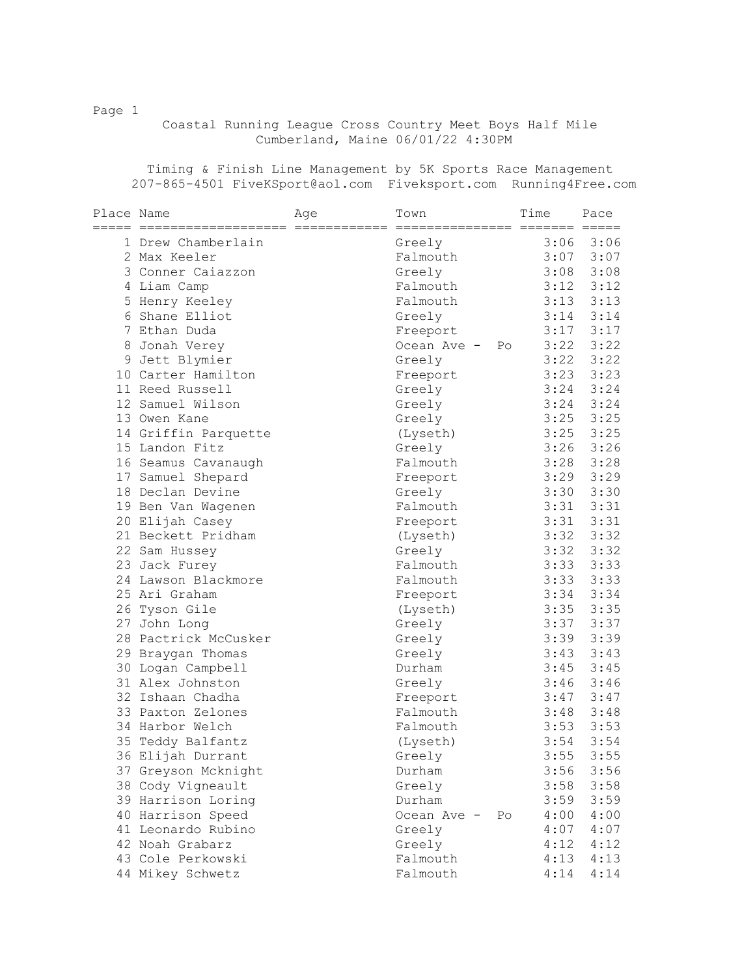## Coastal Running League Cross Country Meet Boys Half Mile Cumberland, Maine 06/01/22 4:30PM

 Timing & Finish Line Management by 5K Sports Race Management 207-865-4501 FiveKSport@aol.com Fiveksport.com Running4Free.com

| Place Name |                      | Age | Town           |    | Time | Pace |
|------------|----------------------|-----|----------------|----|------|------|
|            | 1 Drew Chamberlain   |     | Greely         |    | 3:06 | 3:06 |
|            | 2 Max Keeler         |     | Falmouth       |    | 3:07 | 3:07 |
|            | 3 Conner Caiazzon    |     | Greely         |    | 3:08 | 3:08 |
|            | 4 Liam Camp          |     | Falmouth       |    | 3:12 | 3:12 |
|            | 5 Henry Keeley       |     | Falmouth       |    | 3:13 | 3:13 |
|            | 6 Shane Elliot       |     | Greely         |    | 3:14 | 3:14 |
|            | 7 Ethan Duda         |     | Freeport       |    | 3:17 | 3:17 |
|            | 8 Jonah Verey        |     | Ocean Ave - Po |    | 3:22 | 3:22 |
|            | 9 Jett Blymier       |     | Greely         |    | 3:22 | 3:22 |
|            | 10 Carter Hamilton   |     | Freeport       |    | 3:23 | 3:23 |
|            | 11 Reed Russell      |     | Greely         |    | 3:24 | 3:24 |
|            | 12 Samuel Wilson     |     | Greely         |    | 3:24 | 3:24 |
|            | 13 Owen Kane         |     | Greely         |    | 3:25 | 3:25 |
|            | 14 Griffin Parquette |     | (Lyseth)       |    | 3:25 | 3:25 |
|            | 15 Landon Fitz       |     | Greely         |    | 3:26 | 3:26 |
|            | 16 Seamus Cavanaugh  |     | Falmouth       |    | 3:28 | 3:28 |
|            | 17 Samuel Shepard    |     | Freeport       |    | 3:29 | 3:29 |
|            | 18 Declan Devine     |     | Greely         |    | 3:30 | 3:30 |
|            | 19 Ben Van Wagenen   |     | Falmouth       |    | 3:31 | 3:31 |
|            | 20 Elijah Casey      |     | Freeport       |    | 3:31 | 3:31 |
|            | 21 Beckett Pridham   |     | (Lyseth)       |    | 3:32 | 3:32 |
|            | 22 Sam Hussey        |     | Greely         |    | 3:32 | 3:32 |
|            | 23 Jack Furey        |     | Falmouth       |    | 3:33 | 3:33 |
|            | 24 Lawson Blackmore  |     | Falmouth       |    | 3:33 | 3:33 |
|            | 25 Ari Graham        |     | Freeport       |    | 3:34 | 3:34 |
|            | 26 Tyson Gile        |     | (Lyseth)       |    | 3:35 | 3:35 |
|            | 27 John Long         |     | Greely         |    | 3:37 | 3:37 |
|            | 28 Pactrick McCusker |     | Greely         |    | 3:39 | 3:39 |
|            | 29 Braygan Thomas    |     | Greely         |    | 3:43 | 3:43 |
|            | 30 Logan Campbell    |     | Durham         |    | 3:45 | 3:45 |
|            | 31 Alex Johnston     |     | Greely         |    | 3:46 | 3:46 |
|            | 32 Ishaan Chadha     |     | Freeport       |    | 3:47 | 3:47 |
|            | 33 Paxton Zelones    |     | Falmouth       |    | 3:48 | 3:48 |
|            | 34 Harbor Welch      |     | Falmouth       |    | 3:53 | 3:53 |
|            | 35 Teddy Balfantz    |     | (Lyseth)       |    | 3:54 | 3:54 |
|            | 36 Elijah Durrant    |     | Greely         |    | 3:55 | 3:55 |
|            | 37 Greyson Mcknight  |     | Durham         |    | 3:56 | 3:56 |
|            | 38 Cody Vigneault    |     | Greely         |    | 3:58 | 3:58 |
|            | 39 Harrison Loring   |     | Durham         |    | 3:59 | 3:59 |
|            | 40 Harrison Speed    |     | Ocean Ave -    | Po | 4:00 | 4:00 |
|            | 41 Leonardo Rubino   |     | Greely         |    | 4:07 | 4:07 |
|            | 42 Noah Grabarz      |     | Greely         |    | 4:12 | 4:12 |
|            | 43 Cole Perkowski    |     | Falmouth       |    | 4:13 | 4:13 |
|            | 44 Mikey Schwetz     |     | Falmouth       |    | 4:14 | 4:14 |

Page 1